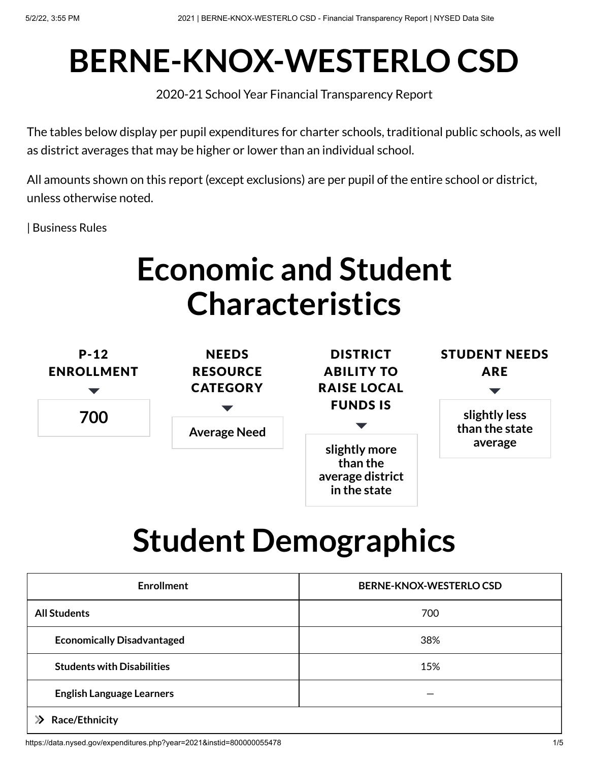# **BERNE-KNOX-WESTERLO CSD**

2020-21 School Year Financial Transparency Report

The tables below display per pupil expenditures for charter schools, traditional public schools, as well as district averages that may be higher or lower than an individual school.

All amounts shown on this report (except exclusions) are per pupil of the entire school or district, unless otherwise noted.

| [Business](https://data.nysed.gov/businessrules.php?type=expenditures) Rules

## **Economic and Student Characteristics**



# **Student Demographics**

| <b>Enrollment</b>                 | <b>BERNE-KNOX-WESTERLO CSD</b> |
|-----------------------------------|--------------------------------|
| <b>All Students</b>               | 700                            |
| <b>Economically Disadvantaged</b> | 38%                            |
| <b>Students with Disabilities</b> | 15%                            |
| <b>English Language Learners</b>  |                                |
| Race/Ethnicity                    |                                |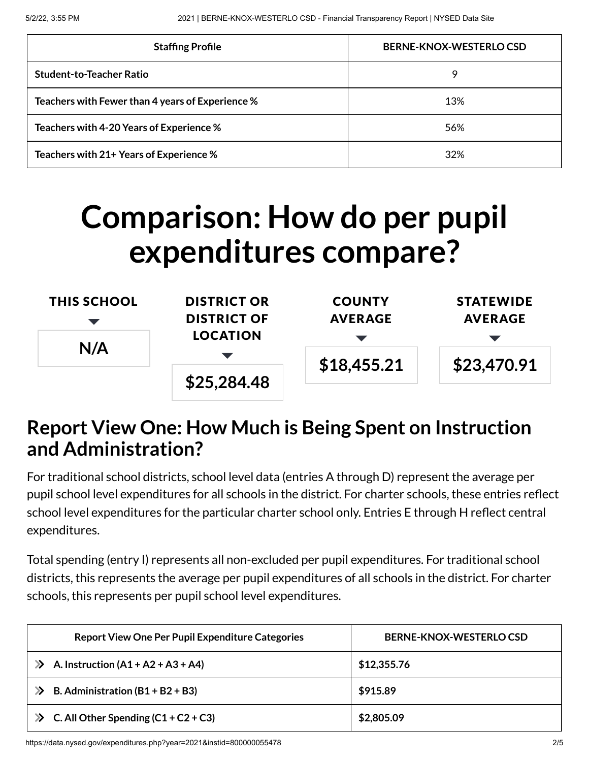| <b>Staffing Profile</b>                          | BERNE-KNOX-WESTERLO CSD |
|--------------------------------------------------|-------------------------|
| <b>Student-to-Teacher Ratio</b>                  | 9                       |
| Teachers with Fewer than 4 years of Experience % | 13%                     |
| Teachers with 4-20 Years of Experience %         | 56%                     |
| Teachers with 21+ Years of Experience %          | 32%                     |

## **Comparison: How do per pupil expenditures compare?**

| <b>THIS SCHOOL</b>     | <b>DISTRICT OR</b> | <b>COUNTY</b>  | <b>STATEWIDE</b> |
|------------------------|--------------------|----------------|------------------|
|                        | <b>DISTRICT OF</b> | <b>AVERAGE</b> | <b>AVERAGE</b>   |
| <b>LOCATION</b><br>N/A |                    |                |                  |
|                        |                    | \$18,455.21    | \$23,470.91      |
|                        | \$25,284.48        |                |                  |

#### **Report View One: How Much is Being Spent on Instruction and Administration?**

For traditional school districts, school level data (entries A through D) represent the average per pupil school level expenditures for all schools in the district. For charter schools, these entries reflect school level expenditures for the particular charter school only. Entries E through H reflect central expenditures.

Total spending (entry I) represents all non-excluded per pupil expenditures. For traditional school districts, this represents the average per pupil expenditures of all schools in the district. For charter schools, this represents per pupil school level expenditures.

| <b>Report View One Per Pupil Expenditure Categories</b> | BERNE-KNOX-WESTERLOCSD |
|---------------------------------------------------------|------------------------|
| A. Instruction $(A1 + A2 + A3 + A4)$                    | \$12,355.76            |
| B. Administration $(B1 + B2 + B3)$                      | \$915.89               |
| $\gg$ C. All Other Spending (C1 + C2 + C3)              | \$2,805.09             |

https://data.nysed.gov/expenditures.php?year=2021&instid=800000055478 2/5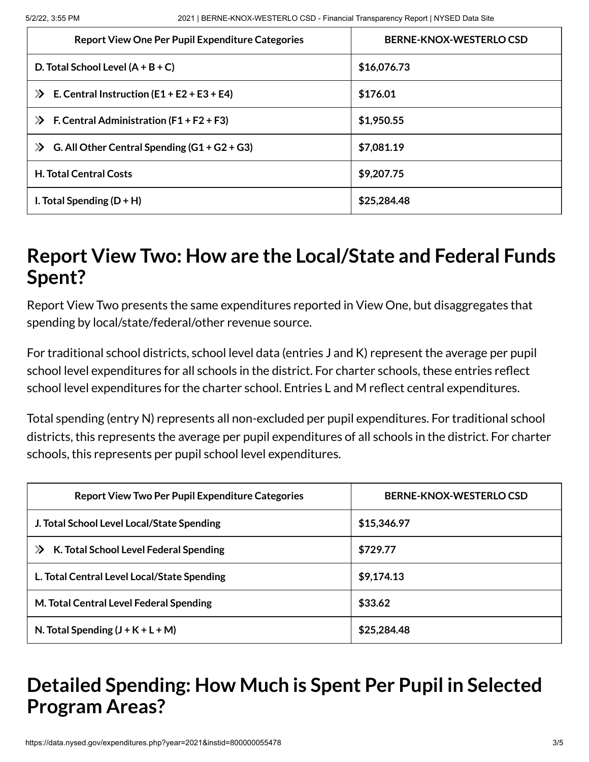| <b>Report View One Per Pupil Expenditure Categories</b>           | BERNE-KNOX-WESTERLO CSD |
|-------------------------------------------------------------------|-------------------------|
| D. Total School Level $(A + B + C)$                               | \$16,076.73             |
| E. Central Instruction $(E1 + E2 + E3 + E4)$<br>$\mathbf{\Sigma}$ | \$176.01                |
| F. Central Administration $(F1 + F2 + F3)$<br>$\gg$               | \$1,950.55              |
| G. All Other Central Spending $(G1 + G2 + G3)$<br>$\gg$           | \$7,081.19              |
| <b>H. Total Central Costs</b>                                     | \$9,207.75              |
| I. Total Spending $(D + H)$                                       | \$25,284.48             |

#### **Report View Two: How are the Local/State and Federal Funds Spent?**

Report View Two presents the same expenditures reported in View One, but disaggregates that spending by local/state/federal/other revenue source.

For traditional school districts, school level data (entries J and K) represent the average per pupil school level expenditures for all schools in the district. For charter schools, these entries reflect school level expenditures for the charter school. Entries L and M reflect central expenditures.

Total spending (entry N) represents all non-excluded per pupil expenditures. For traditional school districts, this represents the average per pupil expenditures of all schools in the district. For charter schools, this represents per pupil school level expenditures.

| <b>Report View Two Per Pupil Expenditure Categories</b> | BERNE-KNOX-WESTERLO CSD |
|---------------------------------------------------------|-------------------------|
| J. Total School Level Local/State Spending              | \$15,346.97             |
| K. Total School Level Federal Spending<br>$\mathbf{p}$  | \$729.77                |
| L. Total Central Level Local/State Spending             | \$9,174.13              |
| M. Total Central Level Federal Spending                 | \$33.62                 |
| N. Total Spending $(J + K + L + M)$                     | \$25,284.48             |

### **Detailed Spending: How Much is Spent Per Pupil in Selected Program Areas?**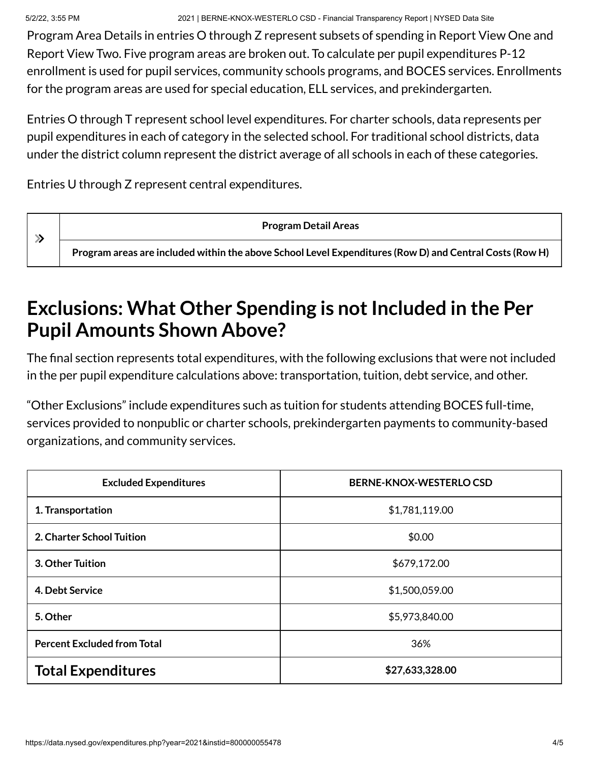5/2/22, 3:55 PM 2021 | BERNE-KNOX-WESTERLO CSD - Financial Transparency Report | NYSED Data Site

Program Area Details in entries O through Z represent subsets of spending in Report View One and Report View Two. Five program areas are broken out. To calculate per pupil expenditures P-12 enrollment is used for pupil services, community schools programs, and BOCES services. Enrollments for the program areas are used for special education, ELL services, and prekindergarten.

Entries O through T represent school level expenditures. For charter schools, data represents per pupil expenditures in each of category in the selected school. For traditional school districts, data under the district column represent the district average of all schools in each of these categories.

Entries U through Z represent central expenditures.

 $\gg$ 

**Program Detail Areas**

**Program areas are included within the above School Level Expenditures (Row D) and Central Costs (Row H)**

### **Exclusions: What Other Spending is not Included in the Per Pupil Amounts Shown Above?**

The final section represents total expenditures, with the following exclusions that were not included in the per pupil expenditure calculations above: transportation, tuition, debt service, and other.

"Other Exclusions" include expenditures such as tuition for students attending BOCES full-time, services provided to nonpublic or charter schools, prekindergarten payments to community-based organizations, and community services.

| <b>Excluded Expenditures</b>       | <b>BERNE-KNOX-WESTERLO CSD</b> |
|------------------------------------|--------------------------------|
| 1. Transportation                  | \$1,781,119.00                 |
| 2. Charter School Tuition          | \$0.00                         |
| 3. Other Tuition                   | \$679,172.00                   |
| 4. Debt Service                    | \$1,500,059.00                 |
| 5. Other                           | \$5,973,840.00                 |
| <b>Percent Excluded from Total</b> | 36%                            |
| <b>Total Expenditures</b>          | \$27,633,328.00                |